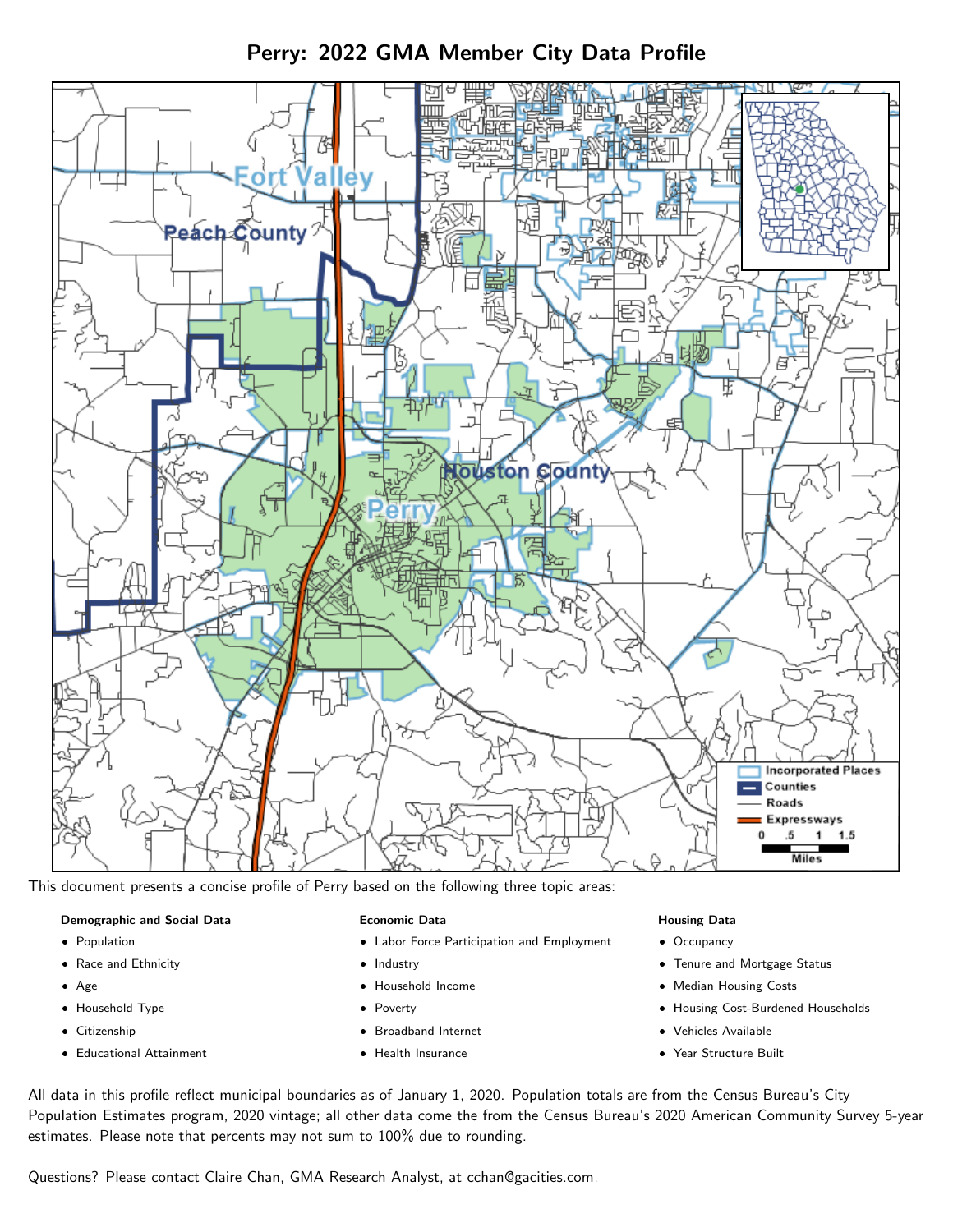Perry: 2022 GMA Member City Data Profile



This document presents a concise profile of Perry based on the following three topic areas:

# Demographic and Social Data

- **•** Population
- Race and Ethnicity
- Age
- Household Type
- **Citizenship**
- Educational Attainment

## Economic Data

- Labor Force Participation and Employment
- Industry
- Household Income
- Poverty
- Broadband Internet
- Health Insurance

## Housing Data

- Occupancy
- Tenure and Mortgage Status
- Median Housing Costs
- Housing Cost-Burdened Households
- Vehicles Available
- Year Structure Built

All data in this profile reflect municipal boundaries as of January 1, 2020. Population totals are from the Census Bureau's City Population Estimates program, 2020 vintage; all other data come the from the Census Bureau's 2020 American Community Survey 5-year estimates. Please note that percents may not sum to 100% due to rounding.

Questions? Please contact Claire Chan, GMA Research Analyst, at [cchan@gacities.com.](mailto:cchan@gacities.com)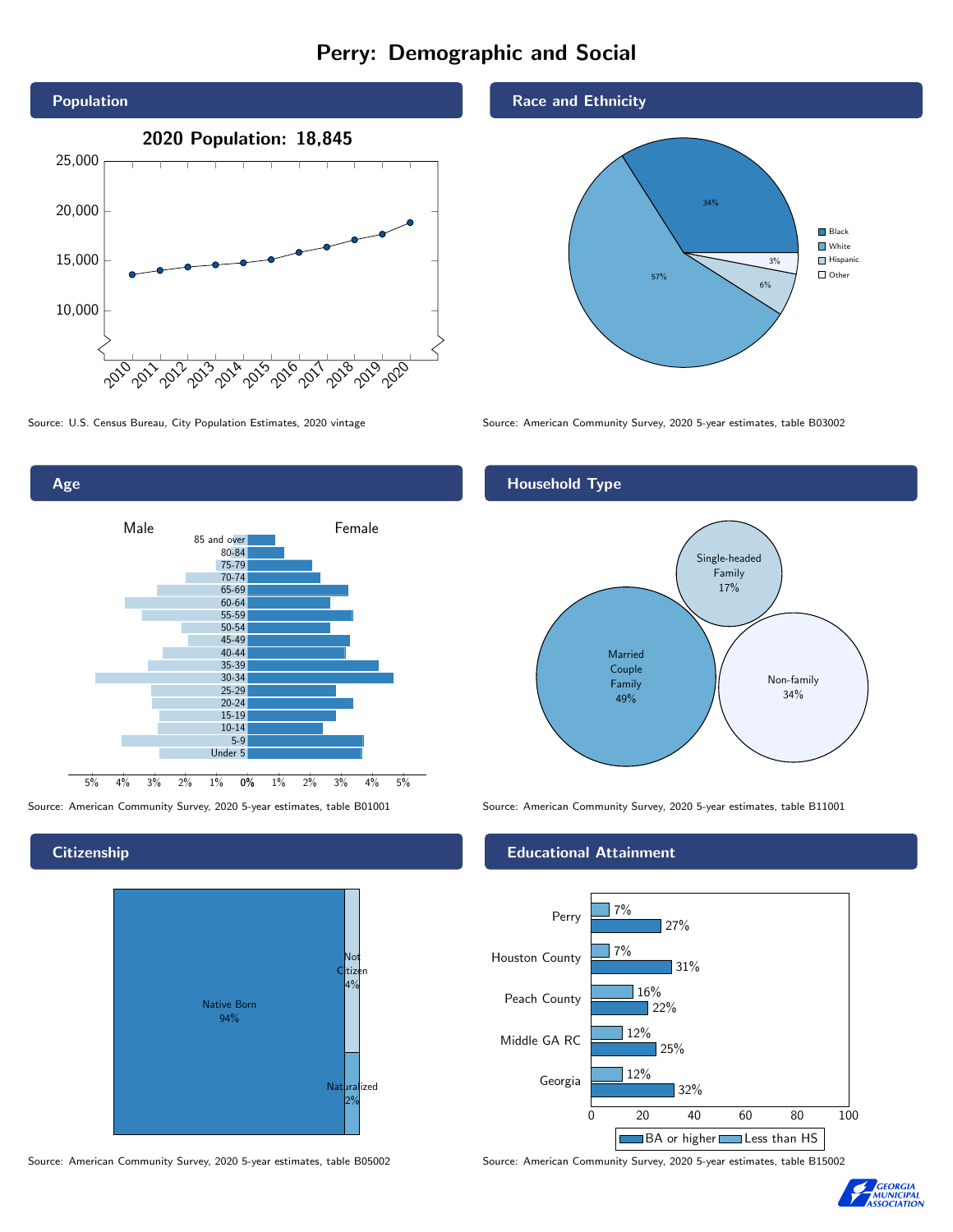# Perry: Demographic and Social





**Citizenship** 



Source: American Community Survey, 2020 5-year estimates, table B05002 Source: American Community Survey, 2020 5-year estimates, table B15002

## Race and Ethnicity



Source: U.S. Census Bureau, City Population Estimates, 2020 vintage Source: American Community Survey, 2020 5-year estimates, table B03002

## Household Type



Source: American Community Survey, 2020 5-year estimates, table B01001 Source: American Community Survey, 2020 5-year estimates, table B11001

### Educational Attainment



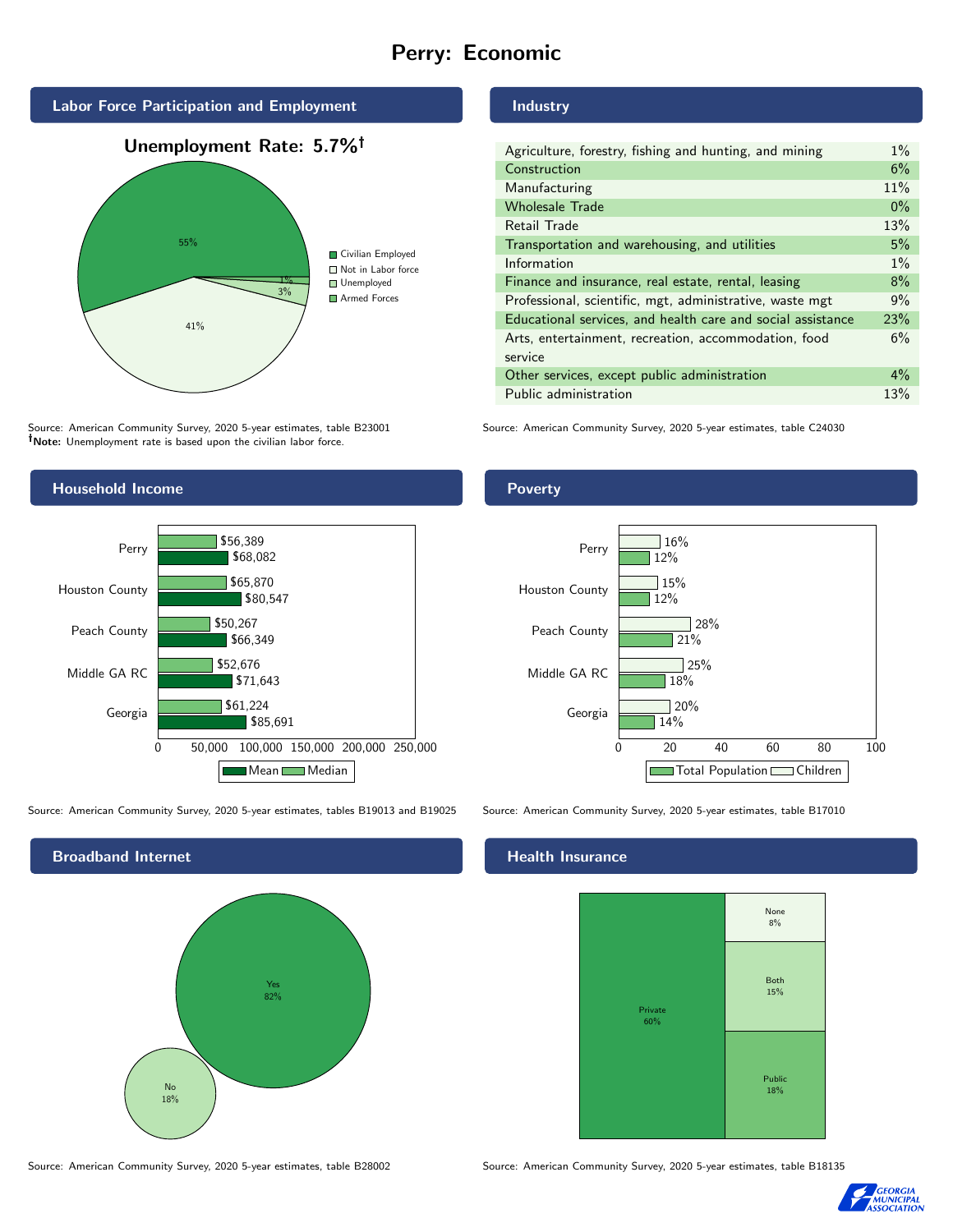# Perry: Economic



Source: American Community Survey, 2020 5-year estimates, table B23001 Note: Unemployment rate is based upon the civilian labor force.

#### Household Income 0 50,000 100,000 150,000 200,000 250,000 Georgia Middle GA RC Peach County Houston County Perry \$85,691 \$71,643 \$66,349 \$80,547 \$68,082 \$61,224 \$52,676 \$50,267 \$65,870 \$56,389 Mean Median

Source: American Community Survey, 2020 5-year estimates, tables B19013 and B19025 Source: American Community Survey, 2020 5-year estimates, table B17010



Source: American Community Survey, 2020 5-year estimates, table B28002 Source: American Community Survey, 2020 5-year estimates, table B18135

# Industry

| Agriculture, forestry, fishing and hunting, and mining      | $1\%$ |
|-------------------------------------------------------------|-------|
| Construction                                                | 6%    |
| Manufacturing                                               | 11%   |
| <b>Wholesale Trade</b>                                      | $0\%$ |
| Retail Trade                                                | 13%   |
| Transportation and warehousing, and utilities               | 5%    |
| Information                                                 | $1\%$ |
| Finance and insurance, real estate, rental, leasing         | 8%    |
| Professional, scientific, mgt, administrative, waste mgt    | 9%    |
| Educational services, and health care and social assistance | 23%   |
| Arts, entertainment, recreation, accommodation, food        | 6%    |
| service                                                     |       |
| Other services, except public administration                | $4\%$ |
| Public administration                                       | 13%   |

Source: American Community Survey, 2020 5-year estimates, table C24030



### Health Insurance